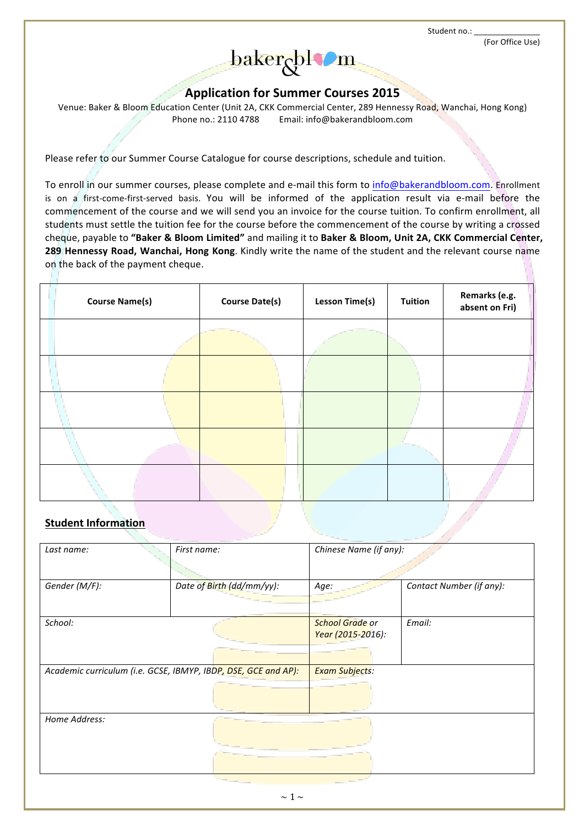Student no.:



# **Application\*for\*Summer Courses 2015**

Venue: Baker & Bloom Education Center (Unit 2A, CKK Commercial Center, 289 Hennessy Road, Wanchai, Hong Kong) Phone no.: 2110 4788 Email: info@bakerandbloom.com

Please refer to our Summer Course Catalogue for course descriptions, schedule and tuition.

To'enroll'in'our summer courses, please complete and e-mail this form to info@bakerandbloom.com.'Enrollment' is on a first-come-first-served basis. You will be informed of the application result via e-mail before the commencement of the course and we will send you an invoice for the course tuition. To confirm enrollment, all students must settle the tuition fee for the course before the commencement of the course by writing a crossed cheque, payable to "Baker & Bloom Limited" and mailing it to Baker & Bloom, Unit 2A, CKK Commercial Center, **289 Hennessy Road, Wanchai, Hong Kong**. Kindly write the name of the student and the relevant course name on the back of the payment cheque.

| <b>Course Name(s)</b> | <b>Course Date(s)</b> | <b>Lesson Time(s)</b> | <b>Tuition</b> | Remarks (e.g.<br>absent on Fri) |
|-----------------------|-----------------------|-----------------------|----------------|---------------------------------|
|                       |                       |                       |                |                                 |
|                       |                       |                       |                |                                 |
|                       |                       |                       |                |                                 |
|                       |                       |                       |                |                                 |
|                       |                       |                       |                |                                 |

# **Student Information**

| Last name:    | First name:                                                    | Chinese Name (if any): |                          |  |  |
|---------------|----------------------------------------------------------------|------------------------|--------------------------|--|--|
|               |                                                                |                        |                          |  |  |
| Gender (M/F): | Date of Birth (dd/mm/yy):                                      | Age:                   | Contact Number (if any): |  |  |
|               |                                                                |                        |                          |  |  |
| School:       |                                                                | <b>School Grade or</b> | Email:                   |  |  |
|               |                                                                | Year (2015-2016):      |                          |  |  |
|               |                                                                |                        |                          |  |  |
|               | Academic curriculum (i.e. GCSE, IBMYP, IBDP, DSE, GCE and AP): | <b>Exam Subjects:</b>  |                          |  |  |
|               |                                                                |                        |                          |  |  |
| Home Address: |                                                                |                        |                          |  |  |
|               |                                                                |                        |                          |  |  |
|               |                                                                |                        |                          |  |  |
|               | $\sim$ 1 $\sim$                                                |                        |                          |  |  |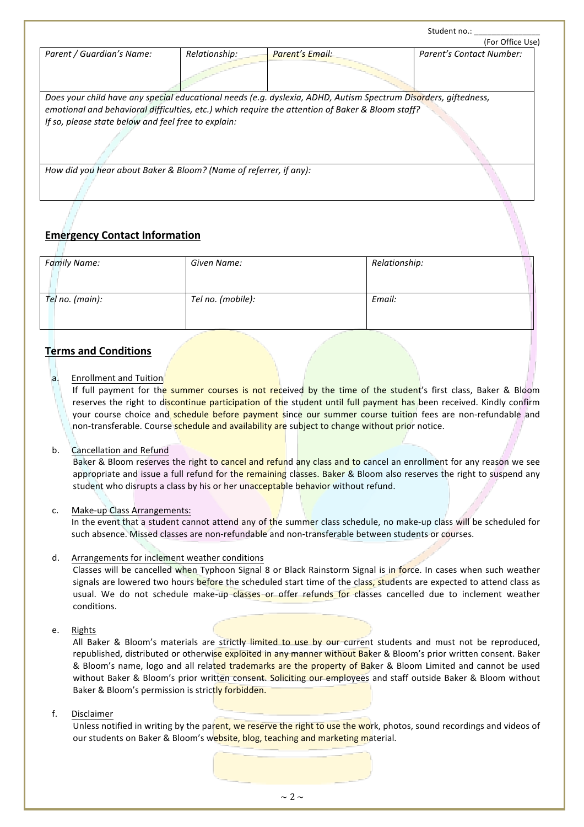|                                                                                                                 |               |                                                                                                  | (For Office Use)         |  |  |  |  |  |
|-----------------------------------------------------------------------------------------------------------------|---------------|--------------------------------------------------------------------------------------------------|--------------------------|--|--|--|--|--|
| Parent / Guardian's Name:                                                                                       | Relationship: | Parent's Email:                                                                                  | Parent's Contact Number: |  |  |  |  |  |
|                                                                                                                 |               |                                                                                                  |                          |  |  |  |  |  |
| Does your child have any special educational needs (e.g. dyslexia, ADHD, Autism Spectrum Disorders, giftedness, |               |                                                                                                  |                          |  |  |  |  |  |
|                                                                                                                 |               | emotional and behavioral difficulties, etc.) which require the attention of Baker & Bloom staff? |                          |  |  |  |  |  |
| If so, please state below and feel free to explain:                                                             |               |                                                                                                  |                          |  |  |  |  |  |
|                                                                                                                 |               |                                                                                                  |                          |  |  |  |  |  |
| How did you hear about Baker & Bloom? (Name of referrer, if any):                                               |               |                                                                                                  |                          |  |  |  |  |  |

# **Emergency Contact Information**

| <b>Family Name:</b> | Given Name:       | Relationship: |
|---------------------|-------------------|---------------|
| Tel no. (main):     | Tel no. (mobile): | Email:        |

# **Terms and Conditions**

a. Enrollment and Tuition

If full payment for the summer courses is not received by the time of the student's first class, Baker & Bloom reserves the right to discontinue participation of the student until full payment has been received. Kindly confirm your course choice and schedule before payment since our summer course tuition fees are non-refundable and non-transferable. Course'schedule and availability are subject to change without prior notice.

b. Cancellation and Refund

Baker & Bloom reserves the right to cancel and refund any class and to cancel an enrollment for any reason we see appropriate and issue a full refund for the remaining classes. Baker & Bloom also reserves the right to suspend any student who disrupts a class by his or her unacceptable behavior without refund.

## c. Make-up Class Arrangements:

In the event that a student cannot attend any of the summer class schedule, no make-up class will be scheduled for such absence. Missed classes are non-refundable and non-transferable between students or courses.

d. Arrangements for inclement weather conditions

Classes will be cancelled when Typhoon Signal 8 or Black Rainstorm Signal is in force. In cases when such weather signals are lowered two hours before the scheduled start time of the class, students are expected to attend class as usual. We do not schedule make-up-classes or offer refunds for classes cancelled due to inclement weather conditions.

### e. Rights

All Baker & Bloom's materials are strictly limited to use by our-current students and must not be reproduced, republished, distributed or otherwise exploited in any manner without Baker & Bloom's prior written consent. Baker & Bloom's name, logo and all related trademarks are the property of Baker & Bloom Limited and cannot be used without Baker & Bloom's prior written consent. Soliciting our employees and staff outside Baker & Bloom without Baker & Bloom's permission is strictly forbidden.

### f. Disclaimer

Unless notified in writing by the parent, we reserve the right to use the work, photos, sound recordings and videos of our students on Baker & Bloom's website, blog, teaching and marketing material.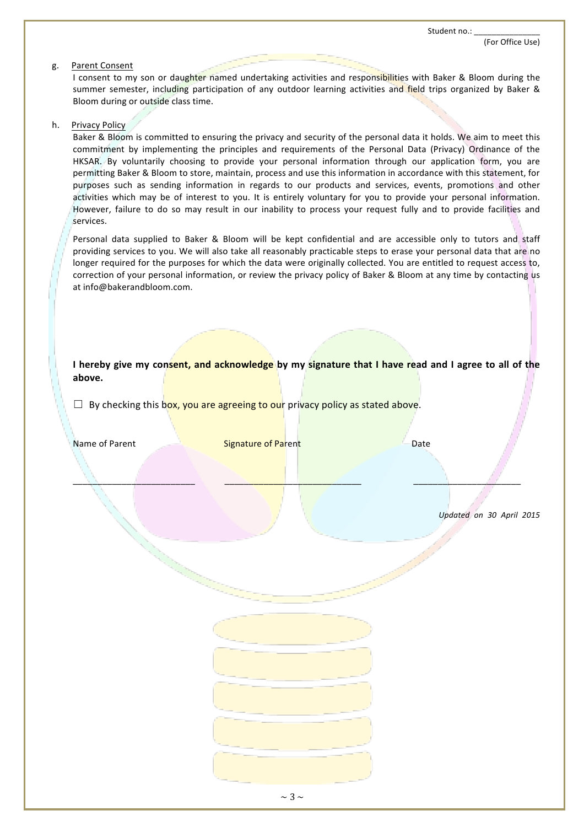(For Office Use)

#### g. Parent Consent

I consent to my son or daughter named undertaking activities and responsibilities with Baker & Bloom during the summer semester, including participation of any outdoor learning activities and field trips organized by Baker & Bloom during or outside class time.

#### h. Privacy Policy

Baker & Bloom is committed to ensuring the privacy and security of the personal data it holds. We aim to meet this commitment by implementing the principles and requirements of the Personal Data (Privacy) Ordinance of the HKSAR. By voluntarily choosing to provide your personal information through our application form, you are permitting Baker & Bloom to store, maintain, process and use this information in accordance with this statement, for purposes such as sending information in regards to our products and services, events, promotions and other activities which may be of interest to you. It is entirely voluntary for you to provide your personal information. However, failure to do so may result in our inability to process your request fully and to provide facilities and services.

Personal data supplied to Baker & Bloom will be kept confidential and are accessible only to tutors and staff providing services to you. We will also take all reasonably practicable steps to erase your personal data that are no longer required for the purposes for which the data were originally collected. You are entitled to request access to, correction of your personal information, or review the privacy policy of Baker & Bloom at any time by contacting us at info@bakerandbloom.com.

### I hereby give my consent, and acknowledge by my signature that I have read and I agree to all of the **above.**

 $\Box$  By checking this box, you are agreeing to our privacy policy as stated above.

| Name of Parent | <b>Signature of Parent</b> | Date |                          |
|----------------|----------------------------|------|--------------------------|
|                |                            |      |                          |
|                |                            |      | Updated on 30 April 2015 |
|                |                            |      |                          |
|                |                            |      |                          |
|                |                            |      |                          |
|                |                            |      |                          |
|                |                            |      |                          |
|                |                            |      |                          |
|                |                            |      |                          |
|                |                            |      |                          |
|                | $\sim$ 3 $\sim$            |      |                          |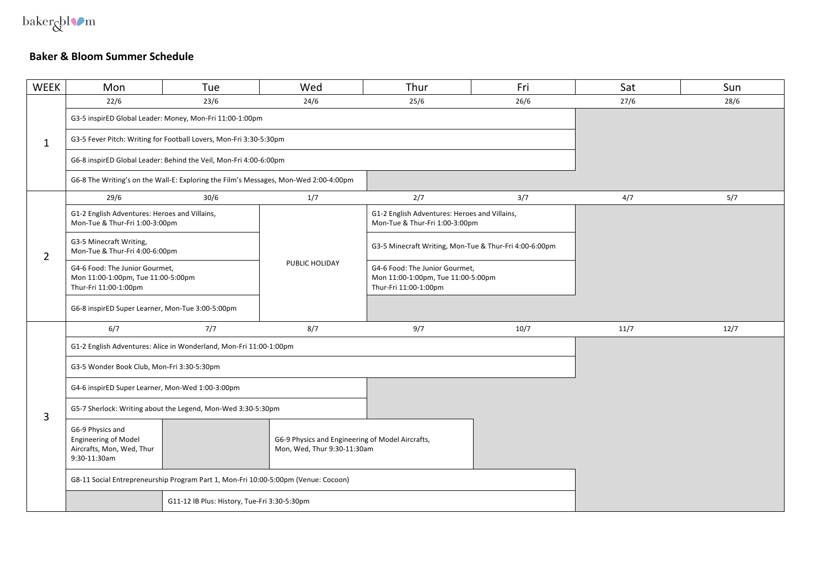$\ensuremath{\mathsf{baker}}\xspace\ensuremath{\mathsf{bil}}\xspace\ensuremath{\mathsf{O}}\xspace\ensuremath{\mathsf{m}}\xspace$ 

# **Baker & Bloom Summer Schedule**

| <b>WEEK</b>    | Mon                                                                                           | Tue                                                                                  | Wed                                                                             | Thur                                                                                          | Fri  | Sat  | Sun  |
|----------------|-----------------------------------------------------------------------------------------------|--------------------------------------------------------------------------------------|---------------------------------------------------------------------------------|-----------------------------------------------------------------------------------------------|------|------|------|
|                | 22/6                                                                                          | 23/6                                                                                 | 24/6                                                                            | 25/6                                                                                          | 26/6 | 27/6 | 28/6 |
| $\mathbf{1}$   |                                                                                               | G3-5 inspirED Global Leader: Money, Mon-Fri 11:00-1:00pm                             |                                                                                 |                                                                                               |      |      |      |
|                |                                                                                               | G3-5 Fever Pitch: Writing for Football Lovers, Mon-Fri 3:30-5:30pm                   |                                                                                 |                                                                                               |      |      |      |
|                |                                                                                               | G6-8 inspirED Global Leader: Behind the Veil, Mon-Fri 4:00-6:00pm                    |                                                                                 |                                                                                               |      |      |      |
|                |                                                                                               | G6-8 The Writing's on the Wall-E: Exploring the Film's Messages, Mon-Wed 2:00-4:00pm |                                                                                 |                                                                                               |      |      |      |
|                | 29/6                                                                                          | 30/6                                                                                 | 1/7                                                                             | 2/7                                                                                           | 3/7  | 4/7  | 5/7  |
|                | G1-2 English Adventures: Heroes and Villains,<br>Mon-Tue & Thur-Fri 1:00-3:00pm               |                                                                                      |                                                                                 | G1-2 English Adventures: Heroes and Villains,<br>Mon-Tue & Thur-Fri 1:00-3:00pm               |      |      |      |
| $\overline{2}$ | G3-5 Minecraft Writing,<br>Mon-Tue & Thur-Fri 4:00-6:00pm                                     |                                                                                      |                                                                                 | G3-5 Minecraft Writing, Mon-Tue & Thur-Fri 4:00-6:00pm                                        |      |      |      |
|                | G4-6 Food: The Junior Gourmet,<br>Mon 11:00-1:00pm, Tue 11:00-5:00pm<br>Thur-Fri 11:00-1:00pm |                                                                                      | PUBLIC HOLIDAY                                                                  | G4-6 Food: The Junior Gourmet,<br>Mon 11:00-1:00pm, Tue 11:00-5:00pm<br>Thur-Fri 11:00-1:00pm |      |      |      |
|                | G6-8 inspirED Super Learner, Mon-Tue 3:00-5:00pm                                              |                                                                                      |                                                                                 |                                                                                               |      |      |      |
|                | 6/7                                                                                           | 7/7                                                                                  | 8/7                                                                             | 9/7                                                                                           | 10/7 | 11/7 | 12/7 |
|                |                                                                                               | G1-2 English Adventures: Alice in Wonderland, Mon-Fri 11:00-1:00pm                   |                                                                                 |                                                                                               |      |      |      |
|                | G3-5 Wonder Book Club, Mon-Fri 3:30-5:30pm                                                    |                                                                                      |                                                                                 |                                                                                               |      |      |      |
|                | G4-6 inspirED Super Learner, Mon-Wed 1:00-3:00pm                                              |                                                                                      |                                                                                 |                                                                                               |      |      |      |
| 3              | G5-7 Sherlock: Writing about the Legend, Mon-Wed 3:30-5:30pm                                  |                                                                                      |                                                                                 |                                                                                               |      |      |      |
|                | G6-9 Physics and<br><b>Engineering of Model</b><br>Aircrafts, Mon, Wed, Thur<br>9:30-11:30am  |                                                                                      | G6-9 Physics and Engineering of Model Aircrafts,<br>Mon, Wed, Thur 9:30-11:30am |                                                                                               |      |      |      |
|                | G8-11 Social Entrepreneurship Program Part 1, Mon-Fri 10:00-5:00pm (Venue: Cocoon)            |                                                                                      |                                                                                 |                                                                                               |      |      |      |
|                | G11-12 IB Plus: History, Tue-Fri 3:30-5:30pm                                                  |                                                                                      |                                                                                 |                                                                                               |      |      |      |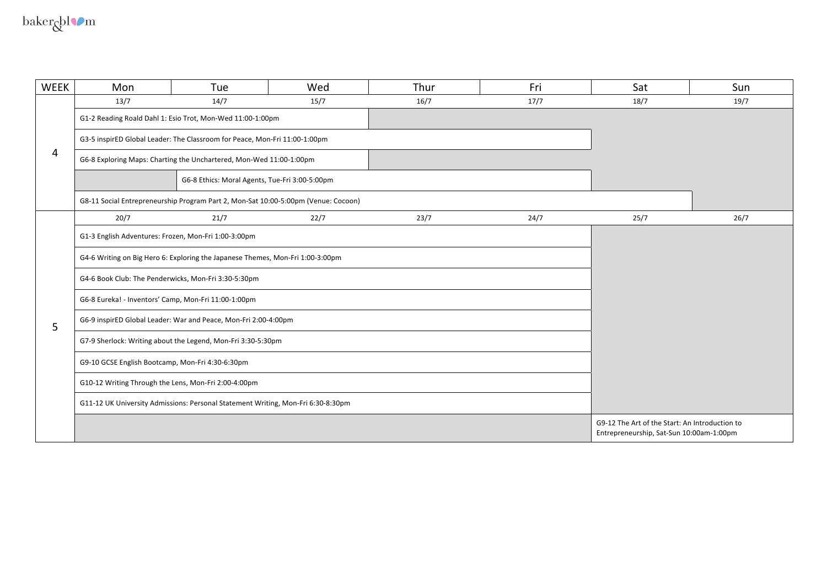$\ensuremath{\mathsf{baker}}\xspace_\mathsf{Q}\xspace\ensuremath{\mathsf{bl}}\xspace\ensuremath{\mathsf{O}}\xspace\ensuremath{\mathsf{m}}\xspace$ 

| <b>WEEK</b> | Mon                                                                              | Tue                                                                                | Wed                                                                                        | Thur | Fri  | Sat  | Sun  |
|-------------|----------------------------------------------------------------------------------|------------------------------------------------------------------------------------|--------------------------------------------------------------------------------------------|------|------|------|------|
|             | 13/7                                                                             | 14/7                                                                               | 15/7                                                                                       | 16/7 | 17/7 | 18/7 | 19/7 |
|             |                                                                                  | G1-2 Reading Roald Dahl 1: Esio Trot, Mon-Wed 11:00-1:00pm                         |                                                                                            |      |      |      |      |
|             |                                                                                  | G3-5 inspirED Global Leader: The Classroom for Peace, Mon-Fri 11:00-1:00pm         |                                                                                            |      |      |      |      |
| 4           |                                                                                  | G6-8 Exploring Maps: Charting the Unchartered, Mon-Wed 11:00-1:00pm                |                                                                                            |      |      |      |      |
|             |                                                                                  | G6-8 Ethics: Moral Agents, Tue-Fri 3:00-5:00pm                                     |                                                                                            |      |      |      |      |
|             |                                                                                  | G8-11 Social Entrepreneurship Program Part 2, Mon-Sat 10:00-5:00pm (Venue: Cocoon) |                                                                                            |      |      |      |      |
|             | 20/7                                                                             | 21/7                                                                               | 22/7                                                                                       | 23/7 | 24/7 | 25/7 | 26/7 |
|             | G1-3 English Adventures: Frozen, Mon-Fri 1:00-3:00pm                             |                                                                                    |                                                                                            |      |      |      |      |
|             |                                                                                  | G4-6 Writing on Big Hero 6: Exploring the Japanese Themes, Mon-Fri 1:00-3:00pm     |                                                                                            |      |      |      |      |
|             | G4-6 Book Club: The Penderwicks, Mon-Fri 3:30-5:30pm                             |                                                                                    |                                                                                            |      |      |      |      |
|             | G6-8 Eureka! - Inventors' Camp, Mon-Fri 11:00-1:00pm                             |                                                                                    |                                                                                            |      |      |      |      |
| 5           |                                                                                  | G6-9 inspirED Global Leader: War and Peace, Mon-Fri 2:00-4:00pm                    |                                                                                            |      |      |      |      |
|             | G7-9 Sherlock: Writing about the Legend, Mon-Fri 3:30-5:30pm                     |                                                                                    |                                                                                            |      |      |      |      |
|             | G9-10 GCSE English Bootcamp, Mon-Fri 4:30-6:30pm                                 |                                                                                    |                                                                                            |      |      |      |      |
|             | G10-12 Writing Through the Lens, Mon-Fri 2:00-4:00pm                             |                                                                                    |                                                                                            |      |      |      |      |
|             | G11-12 UK University Admissions: Personal Statement Writing, Mon-Fri 6:30-8:30pm |                                                                                    |                                                                                            |      |      |      |      |
|             |                                                                                  |                                                                                    | G9-12 The Art of the Start: An Introduction to<br>Entrepreneurship, Sat-Sun 10:00am-1:00pm |      |      |      |      |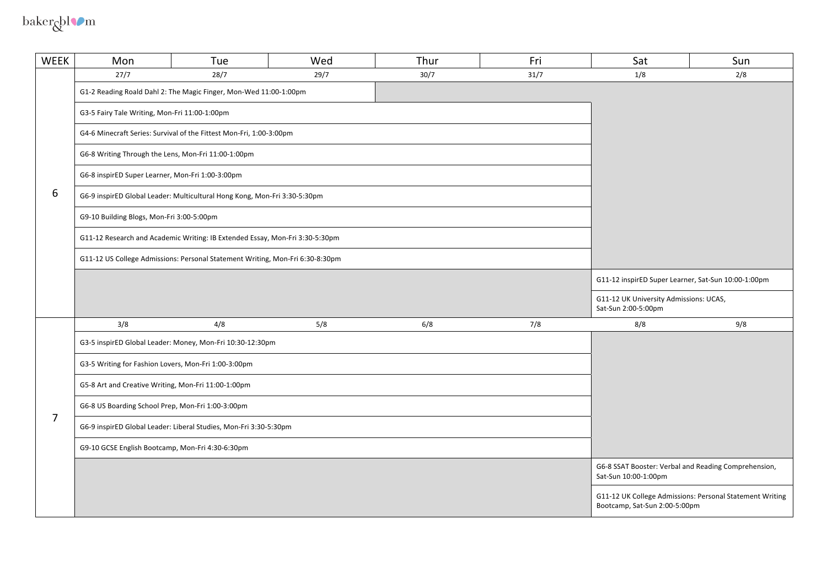baker $\&$ l $\bullet$ m

| <b>WEEK</b>    | Mon                                                                           | Tue                                                                          | Wed  | Thur | Fri  | Sat                                                           | Sun                                                      |
|----------------|-------------------------------------------------------------------------------|------------------------------------------------------------------------------|------|------|------|---------------------------------------------------------------|----------------------------------------------------------|
|                | 27/7                                                                          | 28/7                                                                         | 29/7 | 30/7 | 31/7 | 1/8                                                           | 2/8                                                      |
|                |                                                                               | G1-2 Reading Roald Dahl 2: The Magic Finger, Mon-Wed 11:00-1:00pm            |      |      |      |                                                               |                                                          |
|                | G3-5 Fairy Tale Writing, Mon-Fri 11:00-1:00pm                                 |                                                                              |      |      |      |                                                               |                                                          |
|                |                                                                               | G4-6 Minecraft Series: Survival of the Fittest Mon-Fri, 1:00-3:00pm          |      |      |      |                                                               |                                                          |
|                | G6-8 Writing Through the Lens, Mon-Fri 11:00-1:00pm                           |                                                                              |      |      |      |                                                               |                                                          |
|                | G6-8 inspirED Super Learner, Mon-Fri 1:00-3:00pm                              |                                                                              |      |      |      |                                                               |                                                          |
| 6              |                                                                               | G6-9 inspirED Global Leader: Multicultural Hong Kong, Mon-Fri 3:30-5:30pm    |      |      |      |                                                               |                                                          |
|                | G9-10 Building Blogs, Mon-Fri 3:00-5:00pm                                     |                                                                              |      |      |      |                                                               |                                                          |
|                |                                                                               | G11-12 Research and Academic Writing: IB Extended Essay, Mon-Fri 3:30-5:30pm |      |      |      |                                                               |                                                          |
|                | G11-12 US College Admissions: Personal Statement Writing, Mon-Fri 6:30-8:30pm |                                                                              |      |      |      |                                                               |                                                          |
|                |                                                                               |                                                                              |      |      |      | G11-12 inspirED Super Learner, Sat-Sun 10:00-1:00pm           |                                                          |
|                |                                                                               |                                                                              |      |      |      | G11-12 UK University Admissions: UCAS,<br>Sat-Sun 2:00-5:00pm |                                                          |
|                | 3/8                                                                           | 4/8                                                                          | 5/8  | 6/8  | 7/8  | 8/8                                                           | 9/8                                                      |
|                |                                                                               | G3-5 inspirED Global Leader: Money, Mon-Fri 10:30-12:30pm                    |      |      |      |                                                               |                                                          |
|                | G3-5 Writing for Fashion Lovers, Mon-Fri 1:00-3:00pm                          |                                                                              |      |      |      |                                                               |                                                          |
|                | G5-8 Art and Creative Writing, Mon-Fri 11:00-1:00pm                           |                                                                              |      |      |      |                                                               |                                                          |
| $\overline{7}$ | G6-8 US Boarding School Prep, Mon-Fri 1:00-3:00pm                             |                                                                              |      |      |      |                                                               |                                                          |
|                |                                                                               | G6-9 inspirED Global Leader: Liberal Studies, Mon-Fri 3:30-5:30pm            |      |      |      |                                                               |                                                          |
|                | G9-10 GCSE English Bootcamp, Mon-Fri 4:30-6:30pm                              |                                                                              |      |      |      |                                                               |                                                          |
|                |                                                                               |                                                                              |      |      |      | Sat-Sun 10:00-1:00pm                                          | G6-8 SSAT Booster: Verbal and Reading Comprehension,     |
|                |                                                                               |                                                                              |      |      |      | Bootcamp, Sat-Sun 2:00-5:00pm                                 | G11-12 UK College Admissions: Personal Statement Writing |